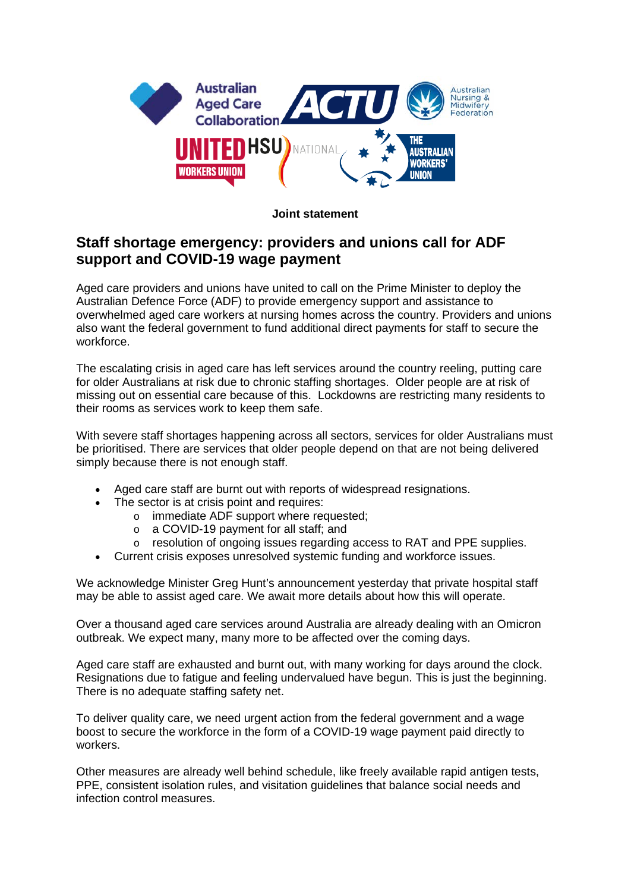

## **Joint statement**

## **Staff shortage emergency: providers and unions call for ADF support and COVID-19 wage payment**

Aged care providers and unions have united to call on the Prime Minister to deploy the Australian Defence Force (ADF) to provide emergency support and assistance to overwhelmed aged care workers at nursing homes across the country. Providers and unions also want the federal government to fund additional direct payments for staff to secure the workforce.

The escalating crisis in aged care has left services around the country reeling, putting care for older Australians at risk due to chronic staffing shortages. Older people are at risk of missing out on essential care because of this. Lockdowns are restricting many residents to their rooms as services work to keep them safe.

With severe staff shortages happening across all sectors, services for older Australians must be prioritised. There are services that older people depend on that are not being delivered simply because there is not enough staff.

- Aged care staff are burnt out with reports of widespread resignations.
- The sector is at crisis point and requires:
	- o immediate ADF support where requested;
	- o a COVID-19 payment for all staff; and<br>
	o resolution of ongoing issues regarding
	- resolution of ongoing issues regarding access to RAT and PPE supplies.
- Current crisis exposes unresolved systemic funding and workforce issues.

We acknowledge Minister Greg Hunt's announcement yesterday that private hospital staff may be able to assist aged care. We await more details about how this will operate.

Over a thousand aged care services around Australia are already dealing with an Omicron outbreak. We expect many, many more to be affected over the coming days.

Aged care staff are exhausted and burnt out, with many working for days around the clock. Resignations due to fatigue and feeling undervalued have begun. This is just the beginning. There is no adequate staffing safety net.

To deliver quality care, we need urgent action from the federal government and a wage boost to secure the workforce in the form of a COVID-19 wage payment paid directly to workers.

Other measures are already well behind schedule, like freely available rapid antigen tests, PPE, consistent isolation rules, and visitation guidelines that balance social needs and infection control measures.